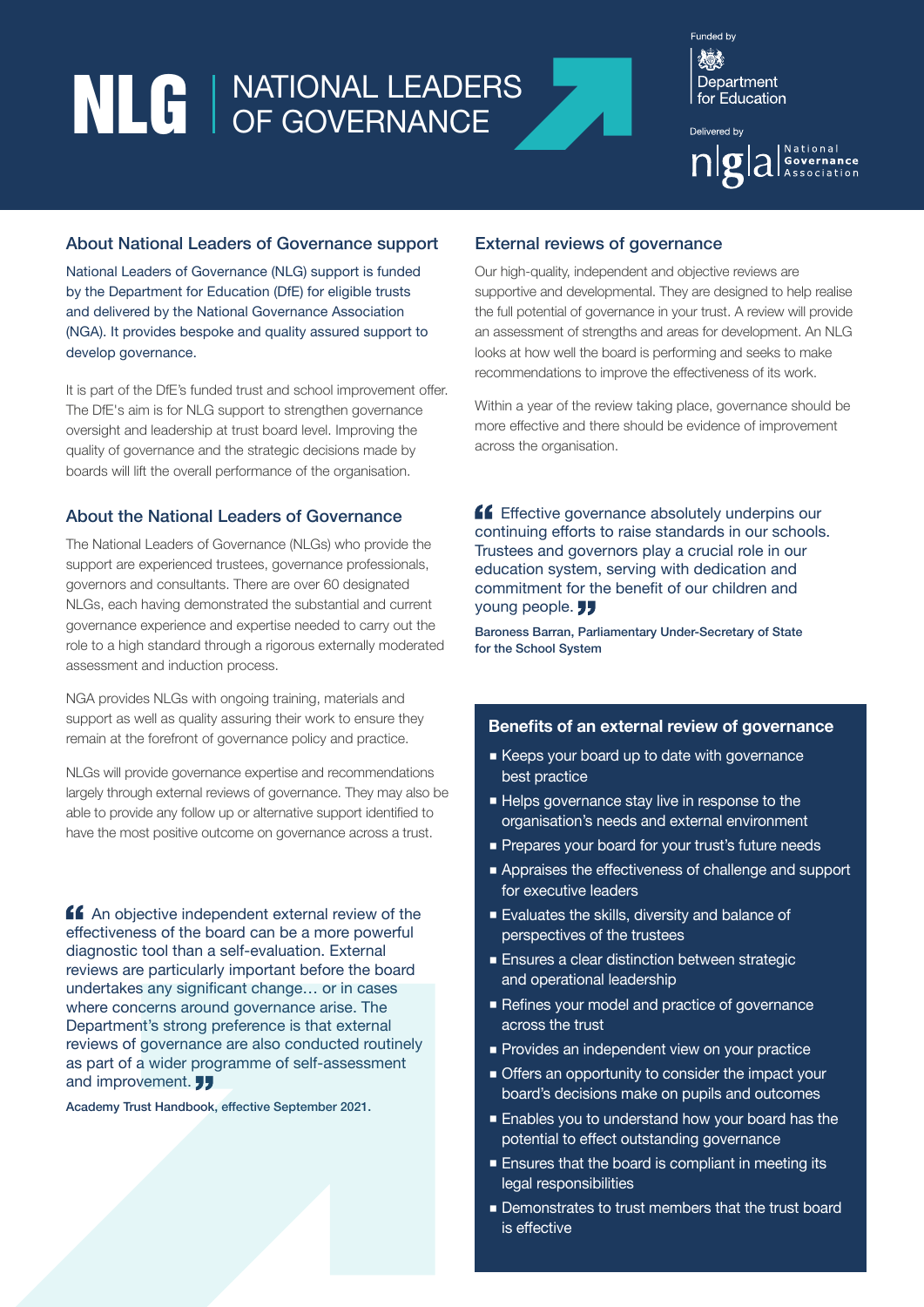# NLG | NATIONAL LEADERS

Funded by 炒 Department for **Fducation** 

Delivered by | National 

#### About National Leaders of Governance support

National Leaders of Governance (NLG) support is funded by the Department for Education (DfE) for eligible trusts and delivered by the National Governance Association (NGA). It provides bespoke and quality assured support to develop governance.

It is part of the DfE's funded trust and school improvement offer. The DfE's aim is for NLG support to strengthen governance oversight and leadership at trust board level. Improving the quality of governance and the strategic decisions made by boards will lift the overall performance of the organisation.

## About the National Leaders of Governance

The National Leaders of Governance (NLGs) who provide the support are experienced trustees, governance professionals, governors and consultants. There are over 60 designated NLGs, each having demonstrated the substantial and current governance experience and expertise needed to carry out the role to a high standard through a rigorous externally moderated assessment and induction process.

NGA provides NLGs with ongoing training, materials and support as well as quality assuring their work to ensure they remain at the forefront of governance policy and practice.

NLGs will provide governance expertise and recommendations largely through external reviews of governance. They may also be able to provide any follow up or alternative support identified to have the most positive outcome on governance across a trust.

**An** objective independent external review of the effectiveness of the board can be a more powerful diagnostic tool than a self-evaluation. External reviews are particularly important before the board undertakes any significant change… or in cases where concerns around governance arise. The Department's strong preference is that external reviews of governance are also conducted routinely as part of a wider programme of self-assessment and improvement. **JJ** 

Academy Trust Handbook, effective September 2021.

#### External reviews of governance

Our high-quality, independent and objective reviews are supportive and developmental. They are designed to help realise the full potential of governance in your trust. A review will provide an assessment of strengths and areas for development. An NLG looks at how well the board is performing and seeks to make recommendations to improve the effectiveness of its work.

Within a year of the review taking place, governance should be more effective and there should be evidence of improvement across the organisation.

**Effective governance absolutely underpins our** continuing efforts to raise standards in our schools. Trustees and governors play a crucial role in our education system, serving with dedication and commitment for the benefit of our children and young people. **JJ** 

Baroness Barran, Parliamentary Under-Secretary of State for the School System

### **Benefits of an external review of governance**

- Keeps your board up to date with governance best practice
- $\blacksquare$  Helps governance stay live in response to the organisation's needs and external environment
- Prepares your board for your trust's future needs
- Appraises the effectiveness of challenge and support for executive leaders
- Evaluates the skills, diversity and balance of perspectives of the trustees
- Ensures a clear distinction between strategic and operational leadership
- Refines your model and practice of governance across the trust
- **Provides an independent view on your practice**
- Offers an opportunity to consider the impact your board's decisions make on pupils and outcomes
- Enables you to understand how your board has the potential to effect outstanding governance
- Ensures that the board is compliant in meeting its legal responsibilities
- Demonstrates to trust members that the trust board is effective